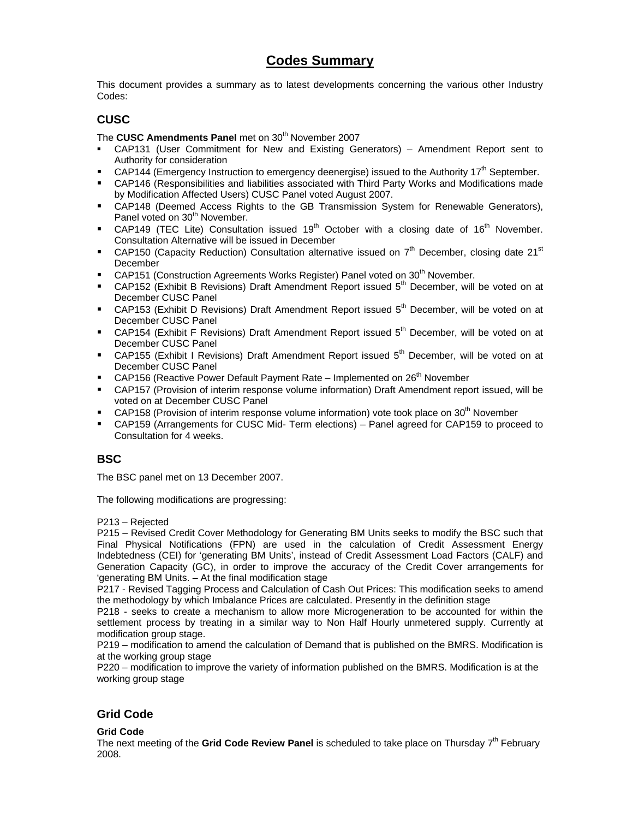### **Codes Summary**

This document provides a summary as to latest developments concerning the various other Industry Codes:

#### **CUSC**

The **CUSC Amendments Panel** met on 30<sup>th</sup> November 2007

- CAP131 (User Commitment for New and Existing Generators) Amendment Report sent to Authority for consideration
- CAP144 (Emergency Instruction to emergency deenergise) issued to the Authority 17<sup>th</sup> September.
- CAP146 (Responsibilities and liabilities associated with Third Party Works and Modifications made by Modification Affected Users) CUSC Panel voted August 2007.
- CAP148 (Deemed Access Rights to the GB Transmission System for Renewable Generators), Panel voted on 30<sup>th</sup> November.
- CAP149 (TEC Lite) Consultation issued 19<sup>th</sup> October with a closing date of 16<sup>th</sup> November. Consultation Alternative will be issued in December
- **CAP150 (Capacity Reduction) Consultation alternative issued on**  $7<sup>th</sup>$  **December, closing date 21<sup>st</sup>** December
- CAP151 (Construction Agreements Works Register) Panel voted on 30<sup>th</sup> November.
- CAP152 (Exhibit B Revisions) Draft Amendment Report issued  $5<sup>th</sup>$  December, will be voted on at December CUSC Panel
- CAP153 (Exhibit D Revisions) Draft Amendment Report issued 5<sup>th</sup> December, will be voted on at December CUSC Panel
- **CAP154 (Exhibit F Revisions) Draft Amendment Report issued 5<sup>th</sup> December, will be voted on at** December CUSC Panel
- CAP155 (Exhibit I Revisions) Draft Amendment Report issued 5<sup>th</sup> December, will be voted on at December CUSC Panel
- CAP156 (Reactive Power Default Payment Rate Implemented on  $26<sup>th</sup>$  November
- CAP157 (Provision of interim response volume information) Draft Amendment report issued, will be voted on at December CUSC Panel
- CAP158 (Provision of interim response volume information) vote took place on  $30<sup>th</sup>$  November
- CAP159 (Arrangements for CUSC Mid- Term elections) Panel agreed for CAP159 to proceed to Consultation for 4 weeks.

#### **BSC**

The BSC panel met on 13 December 2007.

The following modifications are progressing:

P213 – Rejected

P215 – Revised Credit Cover Methodology for Generating BM Units seeks to modify the BSC such that Final Physical Notifications (FPN) are used in the calculation of Credit Assessment Energy Indebtedness (CEI) for 'generating BM Units', instead of Credit Assessment Load Factors (CALF) and Generation Capacity (GC), in order to improve the accuracy of the Credit Cover arrangements for 'generating BM Units. – At the final modification stage

P217 - Revised Tagging Process and Calculation of Cash Out Prices: This modification seeks to amend the methodology by which Imbalance Prices are calculated. Presently in the definition stage

P218 - seeks to create a mechanism to allow more Microgeneration to be accounted for within the settlement process by treating in a similar way to Non Half Hourly unmetered supply. Currently at modification group stage.

P219 – modification to amend the calculation of Demand that is published on the BMRS. Modification is at the working group stage

P220 – modification to improve the variety of information published on the BMRS. Modification is at the working group stage

#### **Grid Code**

#### **Grid Code**

The next meeting of the Grid Code Review Panel is scheduled to take place on Thursday 7<sup>th</sup> February 2008.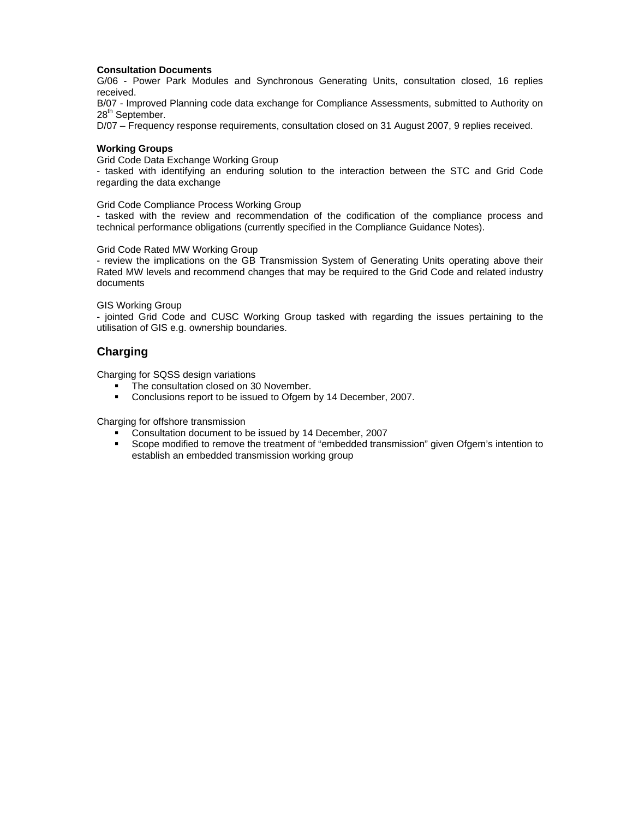#### **Consultation Documents**

G/06 - Power Park Modules and Synchronous Generating Units, consultation closed, 16 replies received.

B/07 - Improved Planning code data exchange for Compliance Assessments, submitted to Authority on 28<sup>th</sup> September.

D/07 – Frequency response requirements, consultation closed on 31 August 2007, 9 replies received.

#### **Working Groups**

Grid Code Data Exchange Working Group

- tasked with identifying an enduring solution to the interaction between the STC and Grid Code regarding the data exchange

Grid Code Compliance Process Working Group

- tasked with the review and recommendation of the codification of the compliance process and technical performance obligations (currently specified in the Compliance Guidance Notes).

Grid Code Rated MW Working Group

- review the implications on the GB Transmission System of Generating Units operating above their Rated MW levels and recommend changes that may be required to the Grid Code and related industry documents

#### GIS Working Group

- jointed Grid Code and CUSC Working Group tasked with regarding the issues pertaining to the utilisation of GIS e.g. ownership boundaries.

#### **Charging**

Charging for SQSS design variations

- The consultation closed on 30 November.<br>Conclusions report to be issued to Ofgem
- Conclusions report to be issued to Ofgem by 14 December, 2007.

Charging for offshore transmission

- Consultation document to be issued by 14 December, 2007
- Scope modified to remove the treatment of "embedded transmission" given Ofgem's intention to establish an embedded transmission working group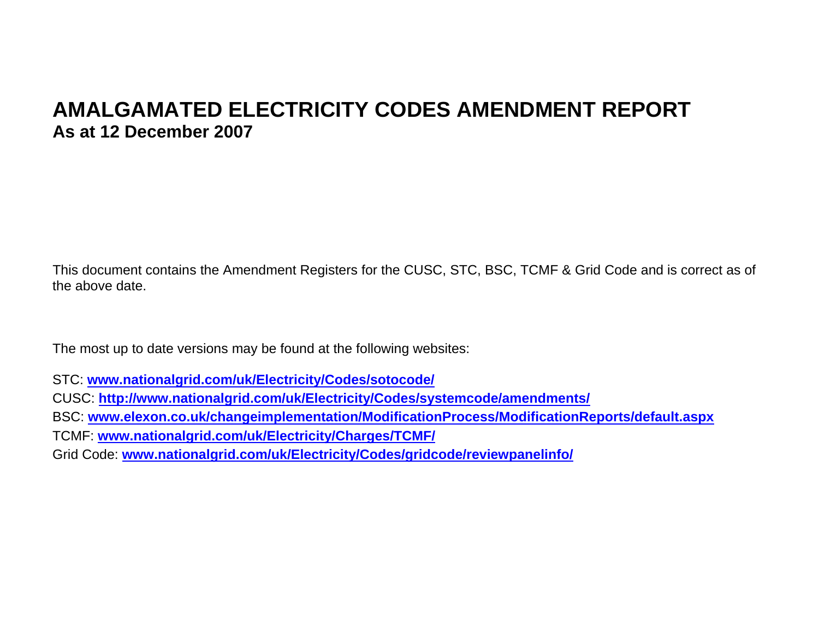# **AMALGAMATED ELECTRICITY CODES AMENDMENT REPORT As at 12 December 2007**

This document contains the Amendment Registers for the CUSC, STC, BSC, TCMF & Grid Code and is correct as of the above date.

The most up to date versions may be found at the following websites:

STC: **www.nationalgrid.com/uk/Electricity/Codes/sotocode/**

CUSC: **http://www.nationalgrid.com/uk/Electricity/Codes/systemcode/amendments/**

BSC: **www.elexon.co.uk/changeimplementation/ModificationProcess/ModificationReports/default.aspx**

TCMF: **www.nationalgrid.com/uk/Electricity/Charges/TCMF/**

Grid Code: **www.nationalgrid.com/uk/Electricity/Codes/gridcode/reviewpanelinfo/**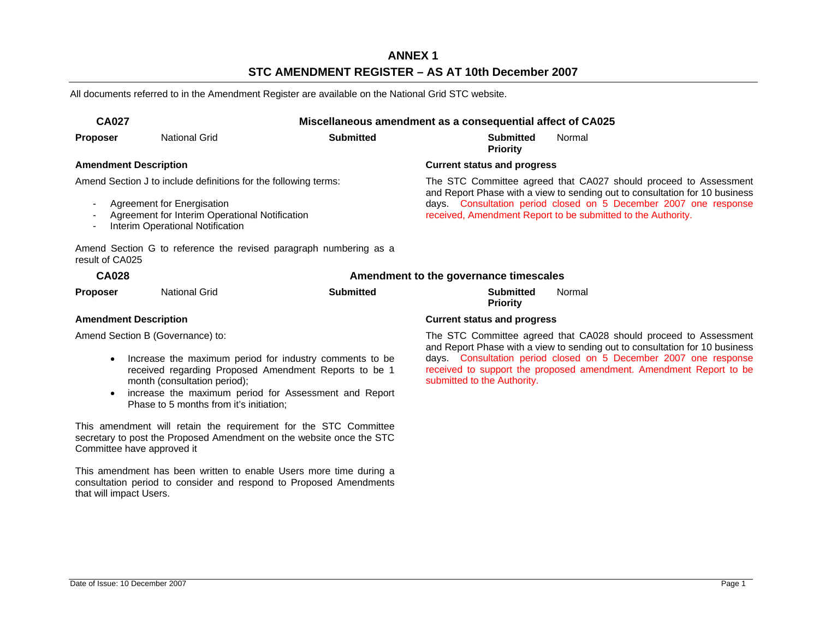### **ANNEX 1 STC AMENDMENT REGISTER – AS AT 10th December 2007**

All documents referred to in the Amendment Register are available on the National Grid STC website.

| <b>CA027</b><br>Miscellaneous amendment as a consequential affect of CA025 |                                                                                                                                                                                     |                                                                   |                                                                  |                                                                                                                                                                                                                                                                                     |  |
|----------------------------------------------------------------------------|-------------------------------------------------------------------------------------------------------------------------------------------------------------------------------------|-------------------------------------------------------------------|------------------------------------------------------------------|-------------------------------------------------------------------------------------------------------------------------------------------------------------------------------------------------------------------------------------------------------------------------------------|--|
| <b>Proposer</b>                                                            | <b>National Grid</b>                                                                                                                                                                | <b>Submitted</b>                                                  | <b>Submitted</b><br><b>Priority</b>                              | Normal                                                                                                                                                                                                                                                                              |  |
| <b>Amendment Description</b>                                               |                                                                                                                                                                                     |                                                                   | <b>Current status and progress</b>                               |                                                                                                                                                                                                                                                                                     |  |
| result of CA025                                                            | Amend Section J to include definitions for the following terms:<br>Agreement for Energisation<br>Agreement for Interim Operational Notification<br>Interim Operational Notification | Amend Section G to reference the revised paragraph numbering as a |                                                                  | The STC Committee agreed that CA027 should proceed to Assessment<br>and Report Phase with a view to sending out to consultation for 10 business<br>days. Consultation period closed on 5 December 2007 one response<br>received, Amendment Report to be submitted to the Authority. |  |
| <b>CA028</b>                                                               |                                                                                                                                                                                     |                                                                   | Amendment to the governance timescales                           |                                                                                                                                                                                                                                                                                     |  |
| <b>Proposer</b>                                                            | <b>National Grid</b>                                                                                                                                                                | <b>Submitted</b>                                                  | <b>Submitted</b><br><b>Priority</b>                              | Normal                                                                                                                                                                                                                                                                              |  |
| <b>Amendment Description</b>                                               |                                                                                                                                                                                     |                                                                   | <b>Current status and progress</b>                               |                                                                                                                                                                                                                                                                                     |  |
| Amend Section B (Governance) to:                                           |                                                                                                                                                                                     |                                                                   | The STC Committee agreed that CA028 should proceed to Assessment |                                                                                                                                                                                                                                                                                     |  |

- Increase the maximum period for industry comments to be received regarding Proposed Amendment Reports to be 1 month (consultation period);
- increase the maximum period for Assessment and Report Phase to 5 months from it's initiation;

This amendment will retain the requirement for the STC Committee secretary to post the Proposed Amendment on the website once the STC Committee have approved it

This amendment has been written to enable Users more time during a consultation period to consider and respond to Proposed Amendments that will impact Users.

 The STC Committee agreed that CA028 should proceed to Assessment and Report Phase with a view to sending out to consultation for 10 business days. Consultation period closed on 5 December 2007 one response received to support the proposed amendment. Amendment Report to be submitted to the Authority.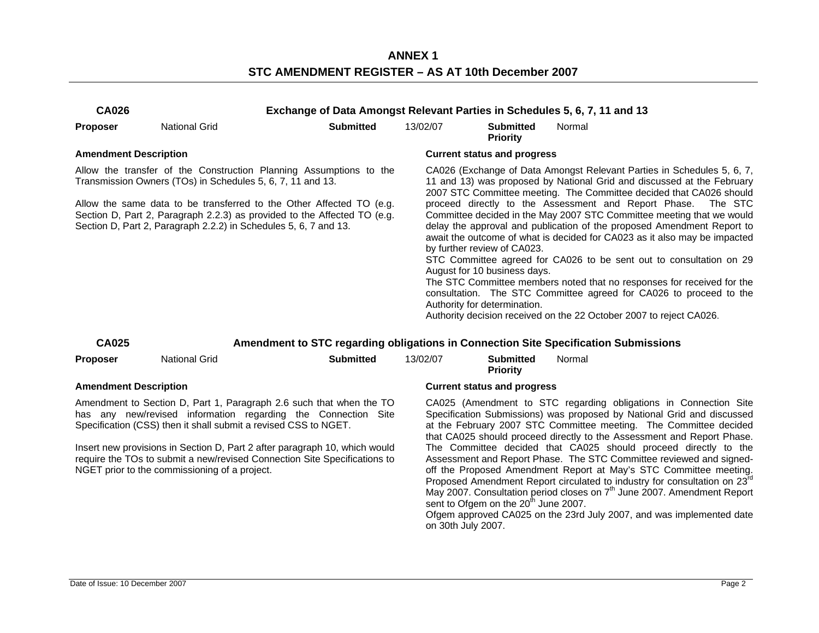**ANNEX 1 STC AMENDMENT REGISTER – AS AT 10th December 2007** 

| <b>CA026</b>                                                                                                                                                                                                                                                                                                                                                                                                                                        |                      | Exchange of Data Amongst Relevant Parties in Schedules 5, 6, 7, 11 and 13           |                                                                                                                                                                                                                                                                                                                                                                                                                                                                                                                                                                                                                                                                                                                                                                                                                                                                                                                         |                                                                        |                                                                                                                                                                                                                                                                                                                                                                                                                                                                                                                                                                                                                                                                                                                                                      |  |  |
|-----------------------------------------------------------------------------------------------------------------------------------------------------------------------------------------------------------------------------------------------------------------------------------------------------------------------------------------------------------------------------------------------------------------------------------------------------|----------------------|-------------------------------------------------------------------------------------|-------------------------------------------------------------------------------------------------------------------------------------------------------------------------------------------------------------------------------------------------------------------------------------------------------------------------------------------------------------------------------------------------------------------------------------------------------------------------------------------------------------------------------------------------------------------------------------------------------------------------------------------------------------------------------------------------------------------------------------------------------------------------------------------------------------------------------------------------------------------------------------------------------------------------|------------------------------------------------------------------------|------------------------------------------------------------------------------------------------------------------------------------------------------------------------------------------------------------------------------------------------------------------------------------------------------------------------------------------------------------------------------------------------------------------------------------------------------------------------------------------------------------------------------------------------------------------------------------------------------------------------------------------------------------------------------------------------------------------------------------------------------|--|--|
| <b>Proposer</b>                                                                                                                                                                                                                                                                                                                                                                                                                                     | <b>National Grid</b> | <b>Submitted</b>                                                                    | 13/02/07                                                                                                                                                                                                                                                                                                                                                                                                                                                                                                                                                                                                                                                                                                                                                                                                                                                                                                                | <b>Submitted</b><br><b>Priority</b>                                    | Normal                                                                                                                                                                                                                                                                                                                                                                                                                                                                                                                                                                                                                                                                                                                                               |  |  |
| <b>Amendment Description</b>                                                                                                                                                                                                                                                                                                                                                                                                                        |                      |                                                                                     |                                                                                                                                                                                                                                                                                                                                                                                                                                                                                                                                                                                                                                                                                                                                                                                                                                                                                                                         | <b>Current status and progress</b>                                     |                                                                                                                                                                                                                                                                                                                                                                                                                                                                                                                                                                                                                                                                                                                                                      |  |  |
| Allow the transfer of the Construction Planning Assumptions to the<br>Transmission Owners (TOs) in Schedules 5, 6, 7, 11 and 13.<br>Allow the same data to be transferred to the Other Affected TO (e.g.<br>Section D, Part 2, Paragraph 2.2.3) as provided to the Affected TO (e.g.<br>Section D, Part 2, Paragraph 2.2.2) in Schedules 5, 6, 7 and 13.                                                                                            |                      |                                                                                     | CA026 (Exchange of Data Amongst Relevant Parties in Schedules 5, 6, 7,<br>11 and 13) was proposed by National Grid and discussed at the February<br>2007 STC Committee meeting. The Committee decided that CA026 should<br>proceed directly to the Assessment and Report Phase.<br>The STC<br>Committee decided in the May 2007 STC Committee meeting that we would<br>delay the approval and publication of the proposed Amendment Report to<br>await the outcome of what is decided for CA023 as it also may be impacted<br>by further review of CA023.<br>STC Committee agreed for CA026 to be sent out to consultation on 29<br>August for 10 business days.<br>The STC Committee members noted that no responses for received for the<br>consultation. The STC Committee agreed for CA026 to proceed to the<br>Authority for determination.<br>Authority decision received on the 22 October 2007 to reject CA026. |                                                                        |                                                                                                                                                                                                                                                                                                                                                                                                                                                                                                                                                                                                                                                                                                                                                      |  |  |
| <b>CA025</b>                                                                                                                                                                                                                                                                                                                                                                                                                                        |                      | Amendment to STC regarding obligations in Connection Site Specification Submissions |                                                                                                                                                                                                                                                                                                                                                                                                                                                                                                                                                                                                                                                                                                                                                                                                                                                                                                                         |                                                                        |                                                                                                                                                                                                                                                                                                                                                                                                                                                                                                                                                                                                                                                                                                                                                      |  |  |
| <b>Proposer</b>                                                                                                                                                                                                                                                                                                                                                                                                                                     | <b>National Grid</b> | <b>Submitted</b>                                                                    | 13/02/07                                                                                                                                                                                                                                                                                                                                                                                                                                                                                                                                                                                                                                                                                                                                                                                                                                                                                                                | <b>Submitted</b><br><b>Priority</b>                                    | Normal                                                                                                                                                                                                                                                                                                                                                                                                                                                                                                                                                                                                                                                                                                                                               |  |  |
|                                                                                                                                                                                                                                                                                                                                                                                                                                                     |                      |                                                                                     |                                                                                                                                                                                                                                                                                                                                                                                                                                                                                                                                                                                                                                                                                                                                                                                                                                                                                                                         | <b>Current status and progress</b>                                     |                                                                                                                                                                                                                                                                                                                                                                                                                                                                                                                                                                                                                                                                                                                                                      |  |  |
| <b>Amendment Description</b><br>Amendment to Section D, Part 1, Paragraph 2.6 such that when the TO<br>has any new/revised information regarding the Connection Site<br>Specification (CSS) then it shall submit a revised CSS to NGET.<br>Insert new provisions in Section D, Part 2 after paragraph 10, which would<br>require the TOs to submit a new/revised Connection Site Specifications to<br>NGET prior to the commissioning of a project. |                      |                                                                                     |                                                                                                                                                                                                                                                                                                                                                                                                                                                                                                                                                                                                                                                                                                                                                                                                                                                                                                                         | sent to Ofgem on the 20 <sup>th</sup> June 2007.<br>on 30th July 2007. | CA025 (Amendment to STC regarding obligations in Connection Site<br>Specification Submissions) was proposed by National Grid and discussed<br>at the February 2007 STC Committee meeting. The Committee decided<br>that CA025 should proceed directly to the Assessment and Report Phase.<br>The Committee decided that CA025 should proceed directly to the<br>Assessment and Report Phase. The STC Committee reviewed and signed-<br>off the Proposed Amendment Report at May's STC Committee meeting.<br>Proposed Amendment Report circulated to industry for consultation on 23rd<br>May 2007. Consultation period closes on 7 <sup>th</sup> June 2007. Amendment Report<br>Ofgem approved CA025 on the 23rd July 2007, and was implemented date |  |  |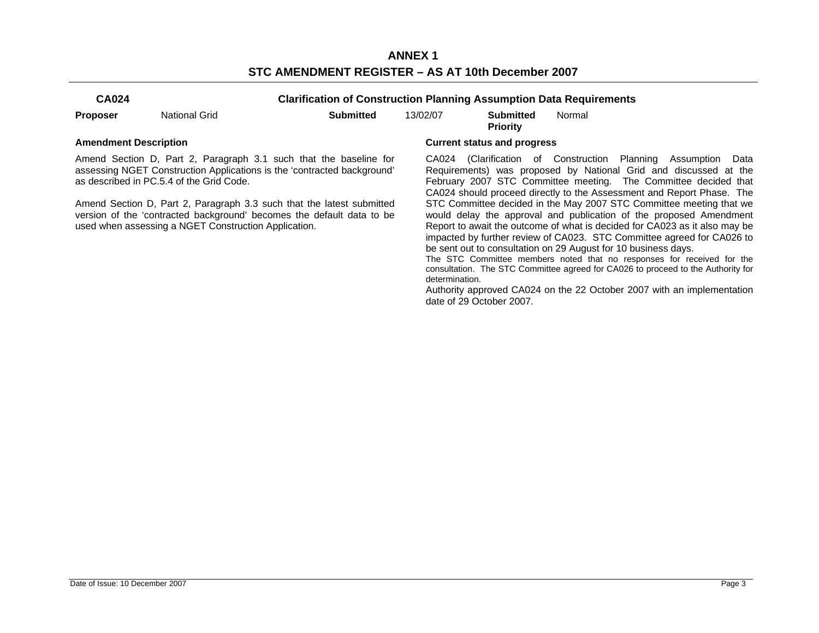**ANNEX 1 STC AMENDMENT REGISTER – AS AT 10th December 2007** 

| u<br>٦<br>u<br>۰, |
|-------------------|
|-------------------|

**Clarification of Construction Planning Assumption Data Requirements** 

| 13/02/07<br><b>Submitted</b><br><b>Submitted</b><br><b>National Grid</b><br>Proposer |
|--------------------------------------------------------------------------------------|
|--------------------------------------------------------------------------------------|

**Priority**  Normal

Amend Section D, Part 2, Paragraph 3.1 such that the baseline for assessing NGET Construction Applications is the 'contracted background' as described in PC.5.4 of the Grid Code.

Amend Section D, Part 2, Paragraph 3.3 such that the latest submitted version of the 'contracted background' becomes the default data to be used when assessing a NGET Construction Application.

#### **Amendment Description Current status and progress**

 CA024 (Clarification of Construction Planning Assumption Data Requirements) was proposed by National Grid and discussed at the February 2007 STC Committee meeting. The Committee decided that CA024 should proceed directly to the Assessment and Report Phase. The STC Committee decided in the May 2007 STC Committee meeting that we would delay the approval and publication of the proposed Amendment Report to await the outcome of what is decided for CA023 as it also may be impacted by further review of CA023. STC Committee agreed for CA026 to be sent out to consultation on 29 August for 10 business days.

The STC Committee members noted that no responses for received for the consultation. The STC Committee agreed for CA026 to proceed to the Authority for determination.

Authority approved CA024 on the 22 October 2007 with an implementation date of 29 October 2007.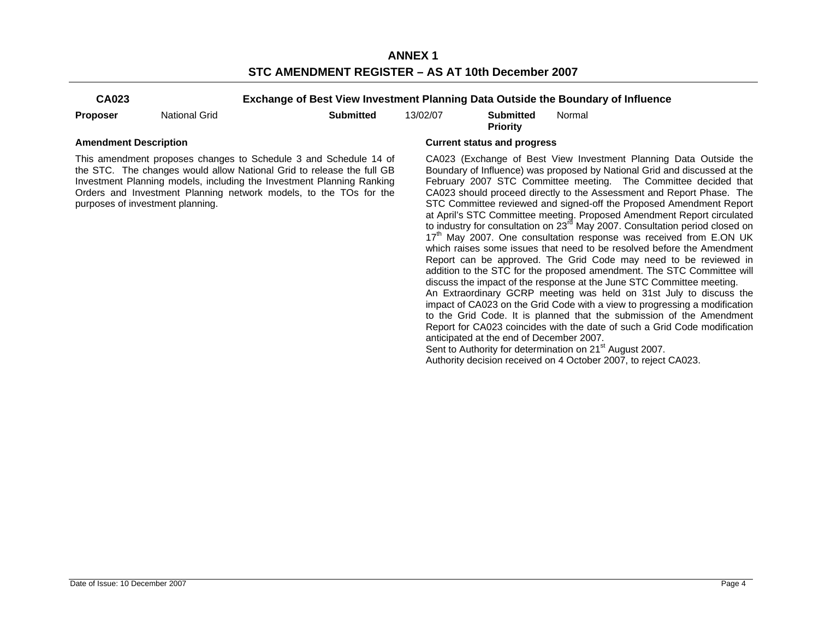**ANNEX 1 STC AMENDMENT REGISTER – AS AT 10th December 2007** 

**CA023 Exchange of Best View Investment Planning Data Outside the Boundary of Influence** 

**Proposer** National Grid **Submitted** 13/02/07 **Submitted** 

**Priority**  Normal

This amendment proposes changes to Schedule 3 and Schedule 14 of the STC. The changes would allow National Grid to release the full GB Investment Planning models, including the Investment Planning Ranking Orders and Investment Planning network models, to the TOs for the purposes of investment planning.

#### **Amendment Description Current status and progress**

 CA023 (Exchange of Best View Investment Planning Data Outside the Boundary of Influence) was proposed by National Grid and discussed at the February 2007 STC Committee meeting. The Committee decided that CA023 should proceed directly to the Assessment and Report Phase. The STC Committee reviewed and signed-off the Proposed Amendment Report at April's STC Committee meeting. Proposed Amendment Report circulated to industry for consultation on 23<sup>rd</sup> May 2007. Consultation period closed on 17<sup>th</sup> May 2007. One consultation response was received from E.ON UK which raises some issues that need to be resolved before the Amendment Report can be approved. The Grid Code may need to be reviewed in addition to the STC for the proposed amendment. The STC Committee will discuss the impact of the response at the June STC Committee meeting. An Extraordinary GCRP meeting was held on 31st July to discuss the impact of CA023 on the Grid Code with a view to progressing a modification to the Grid Code. It is planned that the submission of the Amendment Report for CA023 coincides with the date of such a Grid Code modification anticipated at the end of December 2007. Sent to Authority for determination on 21<sup>st</sup> August 2007.

Authority decision received on 4 October 2007, to reject CA023.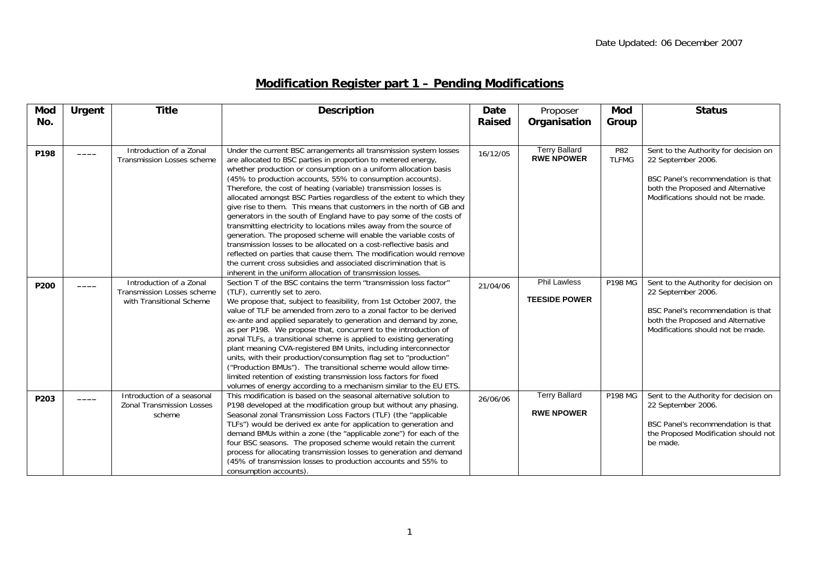## **Modification Register part 1 – Pending Modifications**

| <b>Mod</b> | <b>Urgent</b> | <b>Title</b>                      | <b>Description</b>                                                                                                                         | <b>Date</b>   | Proposer             | <b>Mod</b>   | <b>Status</b>                         |
|------------|---------------|-----------------------------------|--------------------------------------------------------------------------------------------------------------------------------------------|---------------|----------------------|--------------|---------------------------------------|
| No.        |               |                                   |                                                                                                                                            | <b>Raised</b> | Organisation         | Group        |                                       |
|            |               |                                   |                                                                                                                                            |               |                      |              |                                       |
|            |               |                                   |                                                                                                                                            |               |                      |              |                                       |
| P198       |               | Introduction of a Zonal           | Under the current BSC arrangements all transmission system losses                                                                          | 16/12/05      | <b>Terry Ballard</b> | P82          | Sent to the Authority for decision on |
|            |               | <b>Transmission Losses scheme</b> | are allocated to BSC parties in proportion to metered energy,                                                                              |               | <b>RWE NPOWER</b>    | <b>TLFMG</b> | 22 September 2006.                    |
|            |               |                                   | whether production or consumption on a uniform allocation basis                                                                            |               |                      |              |                                       |
|            |               |                                   | (45% to production accounts, 55% to consumption accounts).                                                                                 |               |                      |              | BSC Panel's recommendation is that    |
|            |               |                                   | Therefore, the cost of heating (variable) transmission losses is                                                                           |               |                      |              | both the Proposed and Alternative     |
|            |               |                                   | allocated amongst BSC Parties regardless of the extent to which they                                                                       |               |                      |              | Modifications should not be made.     |
|            |               |                                   | give rise to them. This means that customers in the north of GB and                                                                        |               |                      |              |                                       |
|            |               |                                   | generators in the south of England have to pay some of the costs of<br>transmitting electricity to locations miles away from the source of |               |                      |              |                                       |
|            |               |                                   | generation. The proposed scheme will enable the variable costs of                                                                          |               |                      |              |                                       |
|            |               |                                   | transmission losses to be allocated on a cost-reflective basis and                                                                         |               |                      |              |                                       |
|            |               |                                   | reflected on parties that cause them. The modification would remove                                                                        |               |                      |              |                                       |
|            |               |                                   | the current cross subsidies and associated discrimination that is                                                                          |               |                      |              |                                       |
|            |               |                                   | inherent in the uniform allocation of transmission losses.                                                                                 |               |                      |              |                                       |
|            |               | Introduction of a Zonal           | Section T of the BSC contains the term "transmission loss factor"                                                                          |               | <b>Phil Lawless</b>  | P198 MG      | Sent to the Authority for decision on |
| P200       |               | <b>Transmission Losses scheme</b> | (TLF), currently set to zero.                                                                                                              | 21/04/06      |                      |              | 22 September 2006.                    |
|            |               | with Transitional Scheme          | We propose that, subject to feasibility, from 1st October 2007, the                                                                        |               | <b>TEESIDE POWER</b> |              |                                       |
|            |               |                                   | value of TLF be amended from zero to a zonal factor to be derived                                                                          |               |                      |              | BSC Panel's recommendation is that    |
|            |               |                                   | ex-ante and applied separately to generation and demand by zone,                                                                           |               |                      |              | both the Proposed and Alternative     |
|            |               |                                   | as per P198. We propose that, concurrent to the introduction of                                                                            |               |                      |              | Modifications should not be made.     |
|            |               |                                   | zonal TLFs, a transitional scheme is applied to existing generating                                                                        |               |                      |              |                                       |
|            |               |                                   | plant meaning CVA-registered BM Units, including interconnector                                                                            |               |                      |              |                                       |
|            |               |                                   | units, with their production/consumption flag set to "production"                                                                          |               |                      |              |                                       |
|            |               |                                   | ("Production BMUs"). The transitional scheme would allow time-                                                                             |               |                      |              |                                       |
|            |               |                                   | limited retention of existing transmission loss factors for fixed                                                                          |               |                      |              |                                       |
|            |               |                                   | volumes of energy according to a mechanism similar to the EU ETS.                                                                          |               |                      |              |                                       |
| P203       |               | Introduction of a seasonal        | This modification is based on the seasonal alternative solution to                                                                         | 26/06/06      | <b>Terry Ballard</b> | P198 MG      | Sent to the Authority for decision on |
|            |               | <b>Zonal Transmission Losses</b>  | P198 developed at the modification group but without any phasing.                                                                          |               |                      |              | 22 September 2006.                    |
|            |               | scheme                            | Seasonal zonal Transmission Loss Factors (TLF) (the "applicable                                                                            |               | <b>RWE NPOWER</b>    |              |                                       |
|            |               |                                   | TLFs") would be derived ex ante for application to generation and                                                                          |               |                      |              | BSC Panel's recommendation is that    |
|            |               |                                   | demand BMUs within a zone (the "applicable zone") for each of the                                                                          |               |                      |              | the Proposed Modification should not  |
|            |               |                                   | four BSC seasons. The proposed scheme would retain the current                                                                             |               |                      |              | be made.                              |
|            |               |                                   | process for allocating transmission losses to generation and demand                                                                        |               |                      |              |                                       |
|            |               |                                   | (45% of transmission losses to production accounts and 55% to                                                                              |               |                      |              |                                       |
|            |               |                                   | consumption accounts).                                                                                                                     |               |                      |              |                                       |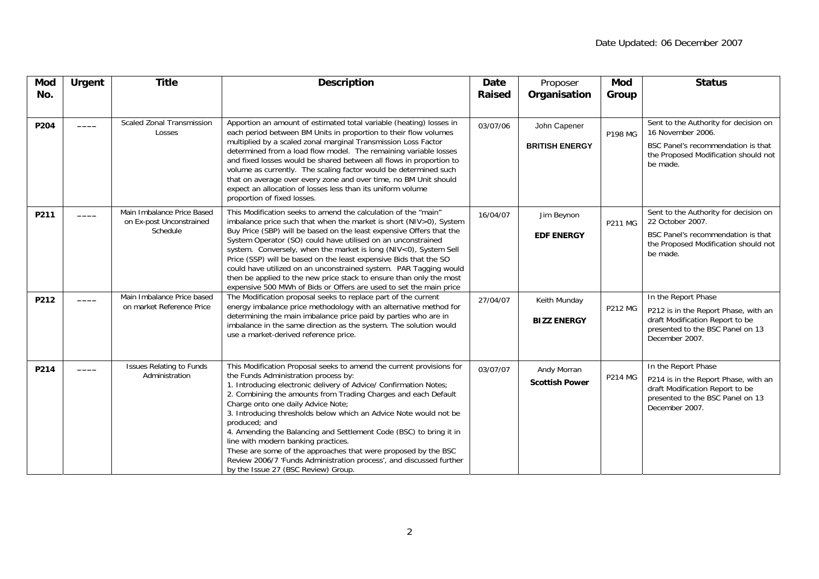| Mod  | <b>Urgent</b> | <b>Title</b>                                                       | <b>Description</b>                                                                                                                                                                                                                                                                                                                                                                                                                                                                                                                                                                                                                                                           | <b>Date</b>   | Proposer                              | Mod            | <b>Status</b>                                                                                                                                        |
|------|---------------|--------------------------------------------------------------------|------------------------------------------------------------------------------------------------------------------------------------------------------------------------------------------------------------------------------------------------------------------------------------------------------------------------------------------------------------------------------------------------------------------------------------------------------------------------------------------------------------------------------------------------------------------------------------------------------------------------------------------------------------------------------|---------------|---------------------------------------|----------------|------------------------------------------------------------------------------------------------------------------------------------------------------|
| No.  |               |                                                                    |                                                                                                                                                                                                                                                                                                                                                                                                                                                                                                                                                                                                                                                                              | <b>Raised</b> | Organisation                          | Group          |                                                                                                                                                      |
| P204 |               | <b>Scaled Zonal Transmission</b><br>Losses                         | Apportion an amount of estimated total variable (heating) losses in<br>each period between BM Units in proportion to their flow volumes<br>multiplied by a scaled zonal marginal Transmission Loss Factor<br>determined from a load flow model. The remaining variable losses<br>and fixed losses would be shared between all flows in proportion to<br>volume as currently. The scaling factor would be determined such<br>that on average over every zone and over time, no BM Unit should<br>expect an allocation of losses less than its uniform volume<br>proportion of fixed losses.                                                                                   | 03/07/06      | John Capener<br><b>BRITISH ENERGY</b> | P198 MG        | Sent to the Authority for decision on<br>16 November 2006.<br>BSC Panel's recommendation is that<br>the Proposed Modification should not<br>be made. |
| P211 |               | Main Imbalance Price Based<br>on Ex-post Unconstrained<br>Schedule | This Modification seeks to amend the calculation of the "main"<br>imbalance price such that when the market is short (NIV>0), System<br>Buy Price (SBP) will be based on the least expensive Offers that the<br>System Operator (SO) could have utilised on an unconstrained<br>system. Conversely, when the market is long (NIV<0), System Sell<br>Price (SSP) will be based on the least expensive Bids that the SO<br>could have utilized on an unconstrained system. PAR Tagging would<br>then be applied to the new price stack to ensure than only the most<br>expensive 500 MWh of Bids or Offers are used to set the main price                                      | 16/04/07      | Jim Beynon<br><b>EDF ENERGY</b>       | <b>P211 MG</b> | Sent to the Authority for decision on<br>22 October 2007.<br>BSC Panel's recommendation is that<br>the Proposed Modification should not<br>be made.  |
| P212 |               | Main Imbalance Price based<br>on market Reference Price            | The Modification proposal seeks to replace part of the current<br>energy imbalance price methodology with an alternative method for<br>determining the main imbalance price paid by parties who are in<br>imbalance in the same direction as the system. The solution would<br>use a market-derived reference price.                                                                                                                                                                                                                                                                                                                                                         | 27/04/07      | Keith Munday<br><b>BIZZ ENERGY</b>    | <b>P212 MG</b> | In the Report Phase<br>P212 is in the Report Phase, with an<br>draft Modification Report to be<br>presented to the BSC Panel on 13<br>December 2007. |
| P214 |               | <b>Issues Relating to Funds</b><br>Administration                  | This Modification Proposal seeks to amend the current provisions for<br>the Funds Administration process by:<br>1. Introducing electronic delivery of Advice/ Confirmation Notes;<br>2. Combining the amounts from Trading Charges and each Default<br>Charge onto one daily Advice Note;<br>3. Introducing thresholds below which an Advice Note would not be<br>produced; and<br>4. Amending the Balancing and Settlement Code (BSC) to bring it in<br>line with modern banking practices.<br>These are some of the approaches that were proposed by the BSC<br>Review 2006/7 'Funds Administration process', and discussed further<br>by the Issue 27 (BSC Review) Group. | 03/07/07      | Andy Morran<br><b>Scottish Power</b>  | <b>P214 MG</b> | In the Report Phase<br>P214 is in the Report Phase, with an<br>draft Modification Report to be<br>presented to the BSC Panel on 13<br>December 2007. |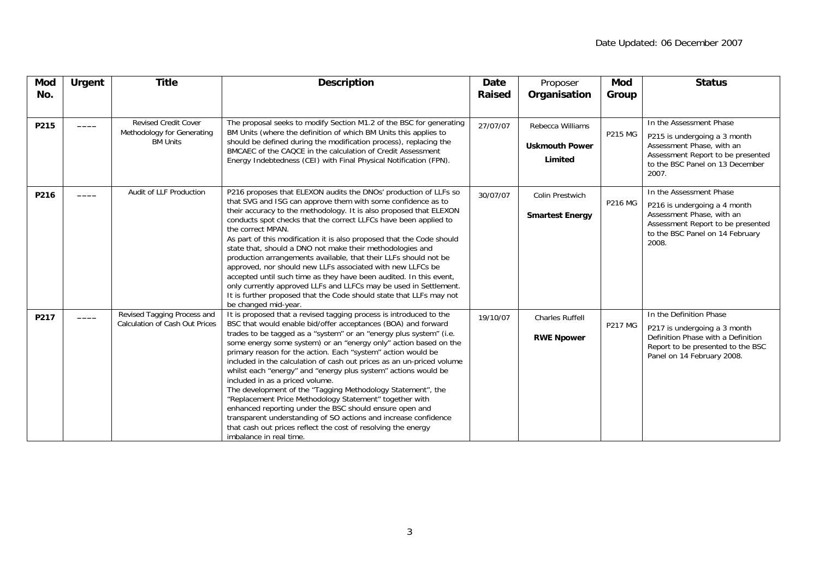| <b>Mod</b><br>No. | <b>Urgent</b> | <b>Title</b>                                                                 | <b>Description</b>                                                                                                                                                                                                                                                                                                                                                                                                                                                                                                                                                                                                                                                                                                                                                                                                                                                              | Date<br><b>Raised</b> | Proposer<br>Organisation                             | <b>Mod</b><br>Group | <b>Status</b>                                                                                                                                                         |
|-------------------|---------------|------------------------------------------------------------------------------|---------------------------------------------------------------------------------------------------------------------------------------------------------------------------------------------------------------------------------------------------------------------------------------------------------------------------------------------------------------------------------------------------------------------------------------------------------------------------------------------------------------------------------------------------------------------------------------------------------------------------------------------------------------------------------------------------------------------------------------------------------------------------------------------------------------------------------------------------------------------------------|-----------------------|------------------------------------------------------|---------------------|-----------------------------------------------------------------------------------------------------------------------------------------------------------------------|
| P215              |               | <b>Revised Credit Cover</b><br>Methodology for Generating<br><b>BM Units</b> | The proposal seeks to modify Section M1.2 of the BSC for generating<br>BM Units (where the definition of which BM Units this applies to<br>should be defined during the modification process), replacing the<br>BMCAEC of the CAQCE in the calculation of Credit Assessment<br>Energy Indebtedness (CEI) with Final Physical Notification (FPN).                                                                                                                                                                                                                                                                                                                                                                                                                                                                                                                                | 27/07/07              | Rebecca Williams<br><b>Uskmouth Power</b><br>Limited | <b>P215 MG</b>      | In the Assessment Phase<br>P215 is undergoing a 3 month<br>Assessment Phase, with an<br>Assessment Report to be presented<br>to the BSC Panel on 13 December<br>2007. |
| P216              |               | Audit of LLF Production                                                      | P216 proposes that ELEXON audits the DNOs' production of LLFs so<br>that SVG and ISG can approve them with some confidence as to<br>their accuracy to the methodology. It is also proposed that ELEXON<br>conducts spot checks that the correct LLFCs have been applied to<br>the correct MPAN.<br>As part of this modification it is also proposed that the Code should<br>state that, should a DNO not make their methodologies and<br>production arrangements available, that their LLFs should not be<br>approved, nor should new LLFs associated with new LLFCs be<br>accepted until such time as they have been audited. In this event,<br>only currently approved LLFs and LLFCs may be used in Settlement.<br>It is further proposed that the Code should state that LLFs may not<br>be changed mid-year.                                                               | 30/07/07              | Colin Prestwich<br><b>Smartest Energy</b>            | P216 MG             | In the Assessment Phase<br>P216 is undergoing a 4 month<br>Assessment Phase, with an<br>Assessment Report to be presented<br>to the BSC Panel on 14 February<br>2008. |
| P217              |               | Revised Tagging Process and<br><b>Calculation of Cash Out Prices</b>         | It is proposed that a revised tagging process is introduced to the<br>BSC that would enable bid/offer acceptances (BOA) and forward<br>trades to be tagged as a "system" or an "energy plus system" (i.e.<br>some energy some system) or an "energy only" action based on the<br>primary reason for the action. Each "system" action would be<br>included in the calculation of cash out prices as an un-priced volume<br>whilst each "energy" and "energy plus system" actions would be<br>included in as a priced volume.<br>The development of the "Tagging Methodology Statement", the<br>"Replacement Price Methodology Statement" together with<br>enhanced reporting under the BSC should ensure open and<br>transparent understanding of SO actions and increase confidence<br>that cash out prices reflect the cost of resolving the energy<br>imbalance in real time. | 19/10/07              | Charles Ruffell<br><b>RWE Npower</b>                 | <b>P217 MG</b>      | In the Definition Phase<br>P217 is undergoing a 3 month<br>Definition Phase with a Definition<br>Report to be presented to the BSC<br>Panel on 14 February 2008.      |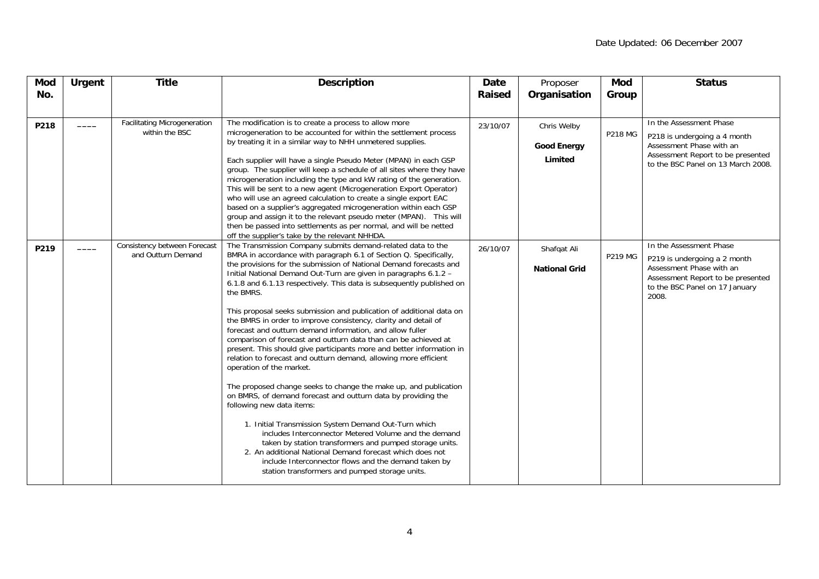| <b>Mod</b><br>No. | <b>Urgent</b> | <b>Title</b>                                          | <b>Description</b>                                                                                                                                                                                                                                                                                                                                                                                                                                                                                                                                                                                                                                                                                                                                                                                                                                                                                                                                                                                                                                                                                                                                                                                                                                                                                                                                                                         | Date<br><b>Raised</b> | Proposer<br>Organisation                     | Mod<br>Group   | <b>Status</b>                                                                                                                                                       |
|-------------------|---------------|-------------------------------------------------------|--------------------------------------------------------------------------------------------------------------------------------------------------------------------------------------------------------------------------------------------------------------------------------------------------------------------------------------------------------------------------------------------------------------------------------------------------------------------------------------------------------------------------------------------------------------------------------------------------------------------------------------------------------------------------------------------------------------------------------------------------------------------------------------------------------------------------------------------------------------------------------------------------------------------------------------------------------------------------------------------------------------------------------------------------------------------------------------------------------------------------------------------------------------------------------------------------------------------------------------------------------------------------------------------------------------------------------------------------------------------------------------------|-----------------------|----------------------------------------------|----------------|---------------------------------------------------------------------------------------------------------------------------------------------------------------------|
| P218              |               | <b>Facilitating Microgeneration</b><br>within the BSC | The modification is to create a process to allow more<br>microgeneration to be accounted for within the settlement process<br>by treating it in a similar way to NHH unmetered supplies.<br>Each supplier will have a single Pseudo Meter (MPAN) in each GSP<br>group. The supplier will keep a schedule of all sites where they have<br>microgeneration including the type and kW rating of the generation.<br>This will be sent to a new agent (Microgeneration Export Operator)<br>who will use an agreed calculation to create a single export EAC<br>based on a supplier's aggregated microgeneration within each GSP<br>group and assign it to the relevant pseudo meter (MPAN). This will<br>then be passed into settlements as per normal, and will be netted                                                                                                                                                                                                                                                                                                                                                                                                                                                                                                                                                                                                                      | 23/10/07              | Chris Welby<br><b>Good Energy</b><br>Limited | <b>P218 MG</b> | In the Assessment Phase<br>P218 is undergoing a 4 month<br>Assessment Phase with an<br>Assessment Report to be presented<br>to the BSC Panel on 13 March 2008.      |
| P219              |               | Consistency between Forecast<br>and Outturn Demand    | off the supplier's take by the relevant NHHDA.<br>The Transmission Company submits demand-related data to the<br>BMRA in accordance with paragraph 6.1 of Section Q. Specifically,<br>the provisions for the submission of National Demand forecasts and<br>Initial National Demand Out-Turn are given in paragraphs 6.1.2 -<br>6.1.8 and 6.1.13 respectively. This data is subsequently published on<br>the BMRS.<br>This proposal seeks submission and publication of additional data on<br>the BMRS in order to improve consistency, clarity and detail of<br>forecast and outturn demand information, and allow fuller<br>comparison of forecast and outturn data than can be achieved at<br>present. This should give participants more and better information in<br>relation to forecast and outturn demand, allowing more efficient<br>operation of the market.<br>The proposed change seeks to change the make up, and publication<br>on BMRS, of demand forecast and outturn data by providing the<br>following new data items:<br>1. Initial Transmission System Demand Out-Turn which<br>includes Interconnector Metered Volume and the demand<br>taken by station transformers and pumped storage units.<br>2. An additional National Demand forecast which does not<br>include Interconnector flows and the demand taken by<br>station transformers and pumped storage units. | 26/10/07              | Shafqat Ali<br><b>National Grid</b>          | <b>P219 MG</b> | In the Assessment Phase<br>P219 is undergoing a 2 month<br>Assessment Phase with an<br>Assessment Report to be presented<br>to the BSC Panel on 17 January<br>2008. |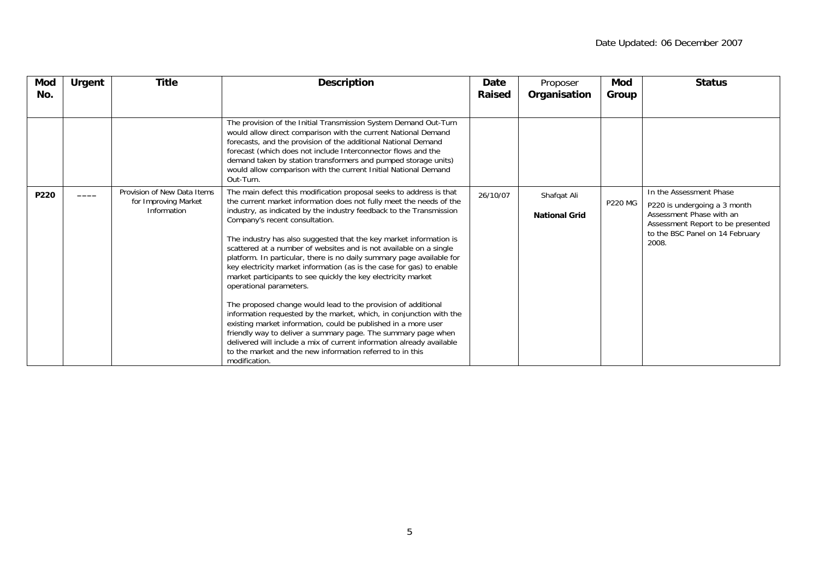| Mod<br>No. | <b>Urgent</b> | <b>Title</b>                                                       | <b>Description</b>                                                                                                                                                                                                                                                                                                                                                                                                                                                                                                                                                                                                                                                                                                                                                                                                                                                                                                                                                                                                                                                              | Date<br><b>Raised</b> | Proposer<br>Organisation            | Mod<br>Group   | <b>Status</b>                                                                                                                                                        |
|------------|---------------|--------------------------------------------------------------------|---------------------------------------------------------------------------------------------------------------------------------------------------------------------------------------------------------------------------------------------------------------------------------------------------------------------------------------------------------------------------------------------------------------------------------------------------------------------------------------------------------------------------------------------------------------------------------------------------------------------------------------------------------------------------------------------------------------------------------------------------------------------------------------------------------------------------------------------------------------------------------------------------------------------------------------------------------------------------------------------------------------------------------------------------------------------------------|-----------------------|-------------------------------------|----------------|----------------------------------------------------------------------------------------------------------------------------------------------------------------------|
|            |               |                                                                    | The provision of the Initial Transmission System Demand Out-Turn<br>would allow direct comparison with the current National Demand<br>forecasts, and the provision of the additional National Demand<br>forecast (which does not include Interconnector flows and the<br>demand taken by station transformers and pumped storage units)<br>would allow comparison with the current Initial National Demand<br>Out-Turn.                                                                                                                                                                                                                                                                                                                                                                                                                                                                                                                                                                                                                                                         |                       |                                     |                |                                                                                                                                                                      |
| P220       |               | Provision of New Data Items<br>for Improving Market<br>Information | The main defect this modification proposal seeks to address is that<br>the current market information does not fully meet the needs of the<br>industry, as indicated by the industry feedback to the Transmission<br>Company's recent consultation.<br>The industry has also suggested that the key market information is<br>scattered at a number of websites and is not available on a single<br>platform. In particular, there is no daily summary page available for<br>key electricity market information (as is the case for gas) to enable<br>market participants to see quickly the key electricity market<br>operational parameters.<br>The proposed change would lead to the provision of additional<br>information requested by the market, which, in conjunction with the<br>existing market information, could be published in a more user<br>friendly way to deliver a summary page. The summary page when<br>delivered will include a mix of current information already available<br>to the market and the new information referred to in this<br>modification. | 26/10/07              | Shafqat Ali<br><b>National Grid</b> | <b>P220 MG</b> | In the Assessment Phase<br>P220 is undergoing a 3 month<br>Assessment Phase with an<br>Assessment Report to be presented<br>to the BSC Panel on 14 February<br>2008. |